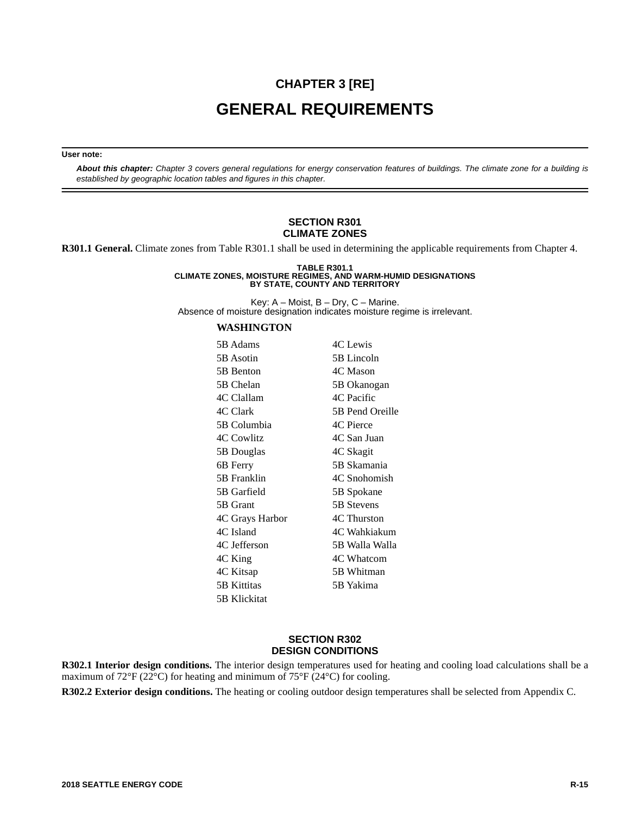# **CHAPTER 3 [RE] GENERAL REQUIREMENTS**

#### **User note:**

*About this chapter: Chapter 3 covers general regulations for energy conservation features of buildings. The climate zone for a building is established by geographic location tables and figures in this chapter.* 

#### **SECTION R301 CLIMATE ZONES**

**R301.1 General.** Climate zones from Table R301.1 shall be used in determining the applicable requirements from Chapter 4.

## **TABLE R301.1 CLIMATE ZONES, MOISTURE REGIMES, AND WARM-HUMID DESIGNATIONS BY STATE, COUNTY AND TERRITORY**

Key:  $A - M$ oist,  $B - Dry$ ,  $C - M$ arine. Absence of moisture designation indicates moisture regime is irrelevant.

#### **WASHINGTON**

| 5B Adams        | 4C Lewis        |
|-----------------|-----------------|
| 5B Asotin       | 5B Lincoln      |
| 5B Benton       | 4C Mason        |
| 5B Chelan       | 5B Okanogan     |
| 4C Clallam      | 4C Pacific      |
| 4C Clark        | 5B Pend Oreille |
| 5B Columbia     | 4C Pierce       |
| 4C Cowlitz      | 4C San Juan     |
| 5B Douglas      | 4C Skagit       |
| 6B Ferry        | 5B Skamania     |
| 5B Franklin     | 4C Snohomish    |
| 5B Garfield     | 5B Spokane      |
| 5B Grant        | 5B Stevens      |
| 4C Grays Harbor | 4C Thurston     |
| 4C Island       | 4C Wahkiakum    |
| 4C Jefferson    | 5B Walla Walla  |
| 4C King         | 4C Whatcom      |
| 4C Kitsap       | 5B Whitman      |
| 5B Kittitas     | 5B Yakima       |
| 5B Klickitat    |                 |

### **SECTION R302 DESIGN CONDITIONS**

**R302.1 Interior design conditions.** The interior design temperatures used for heating and cooling load calculations shall be a maximum of 72°F (22°C) for heating and minimum of 75°F (24°C) for cooling.

**R302.2 Exterior design conditions.** The heating or cooling outdoor design temperatures shall be selected from Appendix C.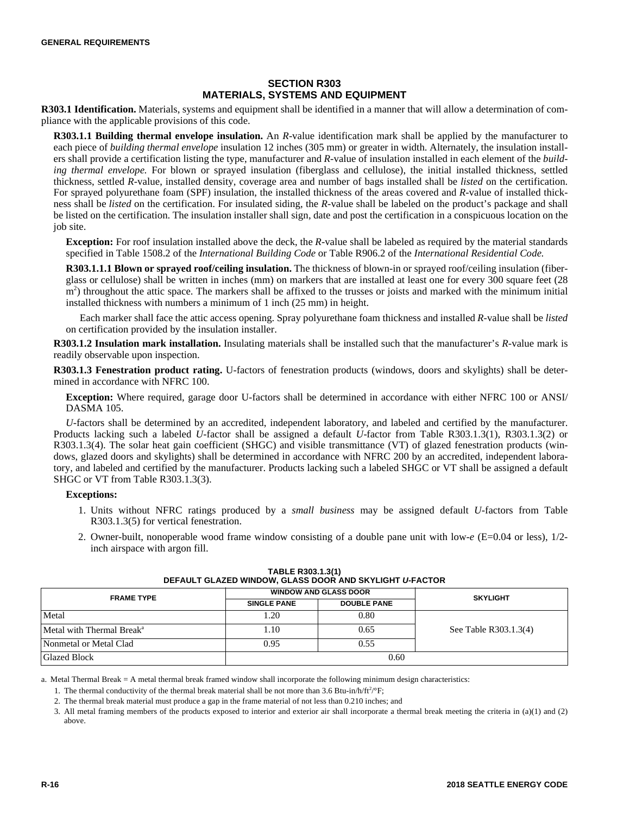## **SECTION R303 MATERIALS, SYSTEMS AND EQUIPMENT**

**R303.1 Identification.** Materials, systems and equipment shall be identified in a manner that will allow a determination of compliance with the applicable provisions of this code.

**R303.1.1 Building thermal envelope insulation.** An *R-*value identification mark shall be applied by the manufacturer to each piece of *building thermal envelope* insulation 12 inches (305 mm) or greater in width. Alternately, the insulation installers shall provide a certification listing the type, manufacturer and *R-*value of insulation installed in each element of the *building thermal envelope.* For blown or sprayed insulation (fiberglass and cellulose), the initial installed thickness, settled thickness, settled *R-*value, installed density, coverage area and number of bags installed shall be *listed* on the certification. For sprayed polyurethane foam (SPF) insulation, the installed thickness of the areas covered and *R-*value of installed thickness shall be *listed* on the certification. For insulated siding, the *R-*value shall be labeled on the product's package and shall be listed on the certification. The insulation installer shall sign, date and post the certification in a conspicuous location on the job site.

**Exception:** For roof insulation installed above the deck, the *R-*value shall be labeled as required by the material standards specified in Table 1508.2 of the *International Building Code* or Table R906.2 of the *International Residential Code.*

**R303.1.1.1 Blown or sprayed roof/ceiling insulation.** The thickness of blown-in or sprayed roof/ceiling insulation (fiberglass or cellulose) shall be written in inches (mm) on markers that are installed at least one for every 300 square feet (28 m<sup>2</sup>) throughout the attic space. The markers shall be affixed to the trusses or joists and marked with the minimum initial installed thickness with numbers a minimum of 1 inch (25 mm) in height.

Each marker shall face the attic access opening. Spray polyurethane foam thickness and installed *R-*value shall be *listed* on certification provided by the insulation installer.

**R303.1.2 Insulation mark installation.** Insulating materials shall be installed such that the manufacturer's *R-*value mark is readily observable upon inspection.

**R303.1.3 Fenestration product rating.** U-factors of fenestration products (windows, doors and skylights) shall be determined in accordance with NFRC 100.

**Exception:** Where required, garage door U-factors shall be determined in accordance with either NFRC 100 or ANSI/ DASMA 105.

*U-*factors shall be determined by an accredited, independent laboratory, and labeled and certified by the manufacturer. Products lacking such a labeled *U-*factor shall be assigned a default *U-*factor from Table R303.1.3(1), R303.1.3(2) or R303.1.3(4). The solar heat gain coefficient (SHGC) and visible transmittance (VT) of glazed fenestration products (windows, glazed doors and skylights) shall be determined in accordance with NFRC 200 by an accredited, independent laboratory, and labeled and certified by the manufacturer. Products lacking such a labeled SHGC or VT shall be assigned a default SHGC or VT from Table R303.1.3(3).

#### **Exceptions:**

- 1. Units without NFRC ratings produced by a *small business* may be assigned default *U-*factors from Table R303.1.3(5) for vertical fenestration.
- 2. Owner-built, nonoperable wood frame window consisting of a double pane unit with low-*e* (E=0.04 or less), 1/2 inch airspace with argon fill.

| <u>DEI AUET GEAZED WINDOW, GEAJJO DOON AND JNTEIGHT ON AUTON</u> |                    |                              |                       |  |  |
|------------------------------------------------------------------|--------------------|------------------------------|-----------------------|--|--|
| <b>FRAME TYPE</b>                                                |                    | <b>WINDOW AND GLASS DOOR</b> | <b>SKYLIGHT</b>       |  |  |
|                                                                  | <b>SINGLE PANE</b> | <b>DOUBLE PANE</b>           |                       |  |  |
| Metal                                                            | 1.20               | 0.80                         |                       |  |  |
| Metal with Thermal Break <sup>a</sup>                            | 1.10               | 0.65                         | See Table R303.1.3(4) |  |  |
| Nonmetal or Metal Clad                                           | 0.95               | 0.55                         |                       |  |  |
| <b>Glazed Block</b>                                              |                    | 0.60                         |                       |  |  |

| TABLE R303.1.3(1)                                               |  |  |  |  |  |  |  |
|-----------------------------------------------------------------|--|--|--|--|--|--|--|
| DEFAULT GLAZED WINDOW, GLASS DOOR AND SKYLIGHT <i>U-</i> FACTOR |  |  |  |  |  |  |  |

a. Metal Thermal Break = A metal thermal break framed window shall incorporate the following minimum design characteristics:

1. The thermal conductivity of the thermal break material shall be not more than 3.6 Btu-in/h/ft<sup>2</sup>/°F;

2. The thermal break material must produce a gap in the frame material of not less than 0.210 inches; and

3. All metal framing members of the products exposed to interior and exterior air shall incorporate a thermal break meeting the criteria in (a)(1) and (2) above.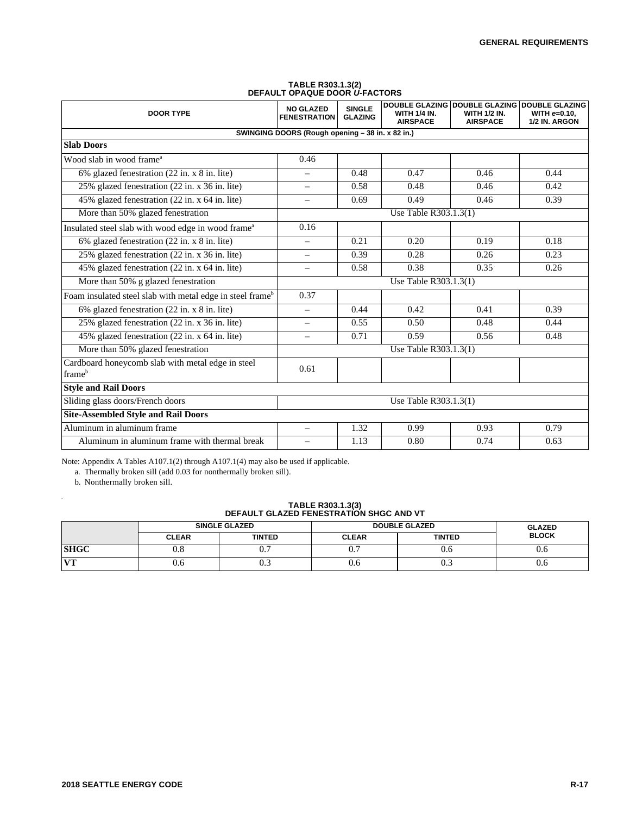| <b>DOOR TYPE</b>                                                      | <b>NO GLAZED</b><br><b>FENESTRATION</b> | <b>SINGLE</b><br><b>GLAZING</b> | <b>WITH 1/4 IN.</b><br><b>AIRSPACE</b> | DOUBLE GLAZING DOUBLE GLAZING DOUBLE GLAZING<br><b>WITH 1/2 IN.</b><br><b>AIRSPACE</b> | WITH e=0.10.<br>1/2 IN. ARGON |  |  |
|-----------------------------------------------------------------------|-----------------------------------------|---------------------------------|----------------------------------------|----------------------------------------------------------------------------------------|-------------------------------|--|--|
| SWINGING DOORS (Rough opening - 38 in. x 82 in.)                      |                                         |                                 |                                        |                                                                                        |                               |  |  |
| <b>Slab Doors</b>                                                     |                                         |                                 |                                        |                                                                                        |                               |  |  |
| Wood slab in wood frame <sup>a</sup>                                  | 0.46                                    |                                 |                                        |                                                                                        |                               |  |  |
| 6% glazed fenestration (22 in. x 8 in. lite)                          | $\overline{\phantom{0}}$                | 0.48                            | 0.47                                   | 0.46                                                                                   | 0.44                          |  |  |
| 25% glazed fenestration (22 in. x 36 in. lite)                        | $\qquad \qquad -$                       | 0.58                            | 0.48                                   | 0.46                                                                                   | 0.42                          |  |  |
| 45% glazed fenestration (22 in. x 64 in. lite)                        | $\equiv$                                | 0.69                            | 0.49                                   | 0.46                                                                                   | 0.39                          |  |  |
| More than 50% glazed fenestration                                     |                                         |                                 | Use Table R303.1.3(1)                  |                                                                                        |                               |  |  |
| Insulated steel slab with wood edge in wood frame <sup>a</sup>        | 0.16                                    |                                 |                                        |                                                                                        |                               |  |  |
| 6% glazed fenestration (22 in. x 8 in. lite)                          | $\overline{\phantom{m}}$                | 0.21                            | 0.20                                   | 0.19                                                                                   | 0.18                          |  |  |
| 25% glazed fenestration (22 in. x 36 in. lite)                        | $\qquad \qquad -$                       | 0.39                            | 0.28                                   | 0.26                                                                                   | 0.23                          |  |  |
| 45% glazed fenestration (22 in. x 64 in. lite)                        | $\overline{\phantom{0}}$                | 0.58                            | 0.38                                   | 0.35                                                                                   | 0.26                          |  |  |
| More than 50% g glazed fenestration                                   | Use Table R303.1.3(1)                   |                                 |                                        |                                                                                        |                               |  |  |
| Foam insulated steel slab with metal edge in steel frame <sup>b</sup> | 0.37                                    |                                 |                                        |                                                                                        |                               |  |  |
| 6% glazed fenestration (22 in. x 8 in. lite)                          | $\overline{\phantom{m}}$                | 0.44                            | 0.42                                   | 0.41                                                                                   | 0.39                          |  |  |
| 25% glazed fenestration (22 in. x 36 in. lite)                        | $\equiv$                                | 0.55                            | 0.50                                   | 0.48                                                                                   | 0.44                          |  |  |
| 45% glazed fenestration (22 in. x 64 in. lite)                        | $\overline{\phantom{0}}$                | 0.71                            | 0.59                                   | 0.56                                                                                   | 0.48                          |  |  |
| More than 50% glazed fenestration                                     | Use Table R303.1.3(1)                   |                                 |                                        |                                                                                        |                               |  |  |
| Cardboard honeycomb slab with metal edge in steel<br>frameb           | 0.61                                    |                                 |                                        |                                                                                        |                               |  |  |
| <b>Style and Rail Doors</b>                                           |                                         |                                 |                                        |                                                                                        |                               |  |  |
| Sliding glass doors/French doors                                      | Use Table R303.1.3(1)                   |                                 |                                        |                                                                                        |                               |  |  |
| <b>Site-Assembled Style and Rail Doors</b>                            |                                         |                                 |                                        |                                                                                        |                               |  |  |
| Aluminum in aluminum frame                                            | $\equiv$                                | 1.32                            | 0.99                                   | 0.93                                                                                   | 0.79                          |  |  |
| Aluminum in aluminum frame with thermal break                         | $\overline{\phantom{m}}$                | 1.13                            | 0.80                                   | 0.74                                                                                   | 0.63                          |  |  |

## **TABLE R303.1.3(2) DEFAULT OPAQUE DOOR** *U-***FACTORS**

Note: Appendix A Tables A107.1(2) through A107.1(4) may also be used if applicable.

a. Thermally broken sill (add 0.03 for nonthermally broken sill).

b. Nonthermally broken sill.

a

## **TABLE R303.1.3(3) DEFAULT GLAZED FENESTRATION SHGC AND VT**

|              | <b>SINGLE GLAZED</b> |               | <b>DOUBLE GLAZED</b> | <b>GLAZED</b> |              |
|--------------|----------------------|---------------|----------------------|---------------|--------------|
|              | <b>CLEAR</b>         | <b>TINTED</b> | <b>CLEAR</b>         | <b>TINTED</b> | <b>BLOCK</b> |
| <b>SHGC</b>  | 0.8                  | v.            | v.                   | v.c           | v.o          |
| $\mathbf{V}$ | 0.6                  | ∪.⊃           | v.o                  | ∪.⊃           | v.o          |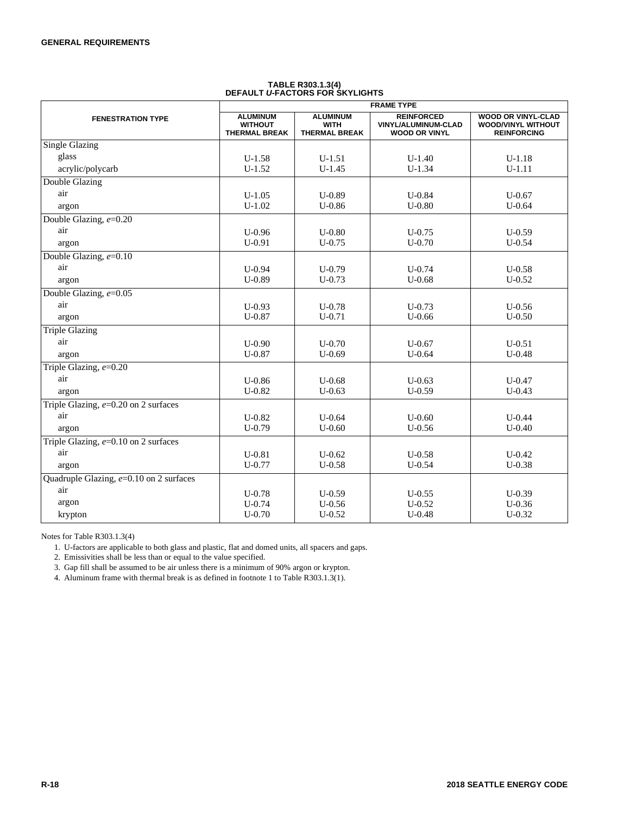| <b>FRAME TYPE</b>                         |                                                           |                                                        |                                                                  |                                                                              |
|-------------------------------------------|-----------------------------------------------------------|--------------------------------------------------------|------------------------------------------------------------------|------------------------------------------------------------------------------|
| <b>FENESTRATION TYPE</b>                  | <b>ALUMINUM</b><br><b>WITHOUT</b><br><b>THERMAL BREAK</b> | <b>ALUMINUM</b><br><b>WITH</b><br><b>THERMAL BREAK</b> | <b>REINFORCED</b><br>VINYL/ALUMINUM-CLAD<br><b>WOOD OR VINYL</b> | <b>WOOD OR VINYL-CLAD</b><br><b>WOOD/VINYL WITHOUT</b><br><b>REINFORCING</b> |
| <b>Single Glazing</b>                     |                                                           |                                                        |                                                                  |                                                                              |
| glass                                     | $U-1.58$                                                  | $U-1.51$                                               | $U-1.40$                                                         | $U-1.18$                                                                     |
| acrylic/polycarb                          | $U-1.52$                                                  | $U-1.45$                                               | $U-1.34$                                                         | $U-1.11$                                                                     |
| Double Glazing                            |                                                           |                                                        |                                                                  |                                                                              |
| air                                       | $U-1.05$                                                  | $U-0.89$                                               | $U - 0.84$                                                       | $U - 0.67$                                                                   |
| argon                                     | $U-1.02$                                                  | $U-0.86$                                               | $U-0.80$                                                         | $U - 0.64$                                                                   |
| Double Glazing, $e=0.20$                  |                                                           |                                                        |                                                                  |                                                                              |
| air                                       | $U - 0.96$                                                | $U-0.80$                                               | $U - 0.75$                                                       | $U-0.59$                                                                     |
| argon                                     | $U-0.91$                                                  | $U - 0.75$                                             | $U-0.70$                                                         | $U - 0.54$                                                                   |
| Double Glazing, $e=0.10$                  |                                                           |                                                        |                                                                  |                                                                              |
| air                                       | $U - 0.94$                                                | $U-0.79$                                               | $U - 0.74$                                                       | $U - 0.58$                                                                   |
| argon                                     | $U-0.89$                                                  | $U - 0.73$                                             | $U - 0.68$                                                       | $U - 0.52$                                                                   |
| Double Glazing, $e=0.05$                  |                                                           |                                                        |                                                                  |                                                                              |
| air                                       | $U-0.93$                                                  | $U-0.78$                                               | $U - 0.73$                                                       | $U - 0.56$                                                                   |
| argon                                     | $U - 0.87$                                                | $U-0.71$                                               | $U - 0.66$                                                       | $U - 0.50$                                                                   |
| <b>Triple Glazing</b>                     |                                                           |                                                        |                                                                  |                                                                              |
| air                                       | $U-0.90$                                                  | $U-0.70$                                               | $U - 0.67$                                                       | $U - 0.51$                                                                   |
| argon                                     | $U-0.87$                                                  | $U-0.69$                                               | $U - 0.64$                                                       | $U-0.48$                                                                     |
| Triple Glazing, e=0.20                    |                                                           |                                                        |                                                                  |                                                                              |
| air                                       | $U-0.86$                                                  | $U - 0.68$                                             | $U - 0.63$                                                       | $U - 0.47$                                                                   |
| argon                                     | $U-0.82$                                                  | $U-0.63$                                               | $U-0.59$                                                         | $U - 0.43$                                                                   |
| Triple Glazing, $e=0.20$ on 2 surfaces    |                                                           |                                                        |                                                                  |                                                                              |
| air                                       | $U-0.82$                                                  | $U - 0.64$                                             | $U - 0.60$                                                       | $U - 0.44$                                                                   |
| argon                                     | $U-0.79$                                                  | $U-0.60$                                               | $U-0.56$                                                         | $U-0.40$                                                                     |
| Triple Glazing, $e=0.10$ on 2 surfaces    |                                                           |                                                        |                                                                  |                                                                              |
| air                                       | $U - 0.81$                                                | $U - 0.62$                                             | $U - 0.58$                                                       | $U - 0.42$                                                                   |
| argon                                     | $U-0.77$                                                  | $U-0.58$                                               | $U - 0.54$                                                       | $U-0.38$                                                                     |
| Quadruple Glazing, $e=0.10$ on 2 surfaces |                                                           |                                                        |                                                                  |                                                                              |
| air                                       | $U-0.78$                                                  | $U-0.59$                                               | $U-0.55$                                                         | $U-0.39$                                                                     |
| argon                                     | $U - 0.74$                                                | $U - 0.56$                                             | $U - 0.52$                                                       | $U - 0.36$                                                                   |
| krypton                                   | $U-0.70$                                                  | $U-0.52$                                               | $U - 0.48$                                                       | $U-0.32$                                                                     |

# **TABLE R303.1.3(4) DEFAULT** *U***-FACTORS FOR SKYLIGHTS**

Notes for Table R303.1.3(4)

1. U-factors are applicable to both glass and plastic, flat and domed units, all spacers and gaps.

2. Emissivities shall be less than or equal to the value specified.

3. Gap fill shall be assumed to be air unless there is a minimum of 90% argon or krypton.

4. Aluminum frame with thermal break is as defined in footnote 1 to Table R303.1.3(1).